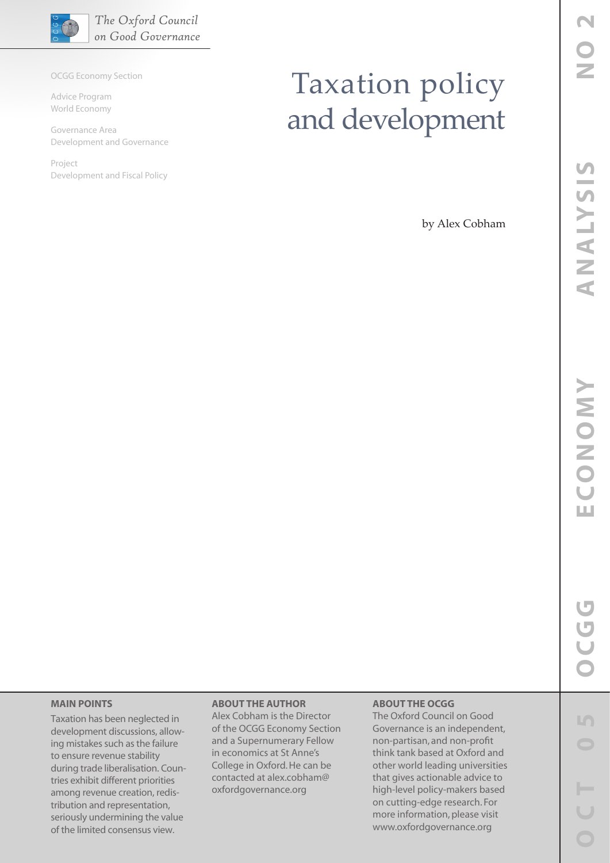

OCGG Economy Section

Advice Program World Economy

Governance Area Development and Governance

Project Development and Fiscal Policy

# Taxation policy and development

by Alex Cobham

## **MAIN POINTS**

Taxation has been neglected in development discussions, allowing mistakes such as the failure to ensure revenue stability during trade liberalisation. Countries exhibit different priorities among revenue creation, redistribution and representation, seriously undermining the value of the limited consensus view.

## **ABOUT THE AUTHOR**

Alex Cobham is the Director of the OCGG Economy Section and a Supernumerary Fellow in economics at St Anne's College in Oxford. He can be contacted at alex.cobham@ oxfordgovernance.org

#### **ABOUT THE OCGG**

The Oxford Council on Good Governance is an independent, non-partisan, and non-profit think tank based at Oxford and other world leading universities that gives actionable advice to high-level policy-makers based on cutting-edge research. For more information, please visit www.oxfordgovernance.org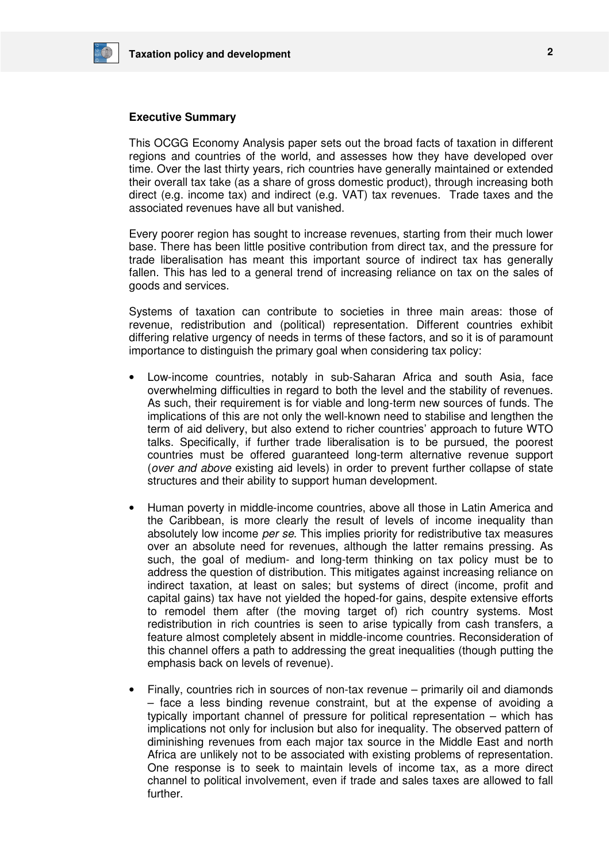

#### **Executive Summary**

This OCGG Economy Analysis paper sets out the broad facts of taxation in different regions and countries of the world, and assesses how they have developed over time. Over the last thirty years, rich countries have generally maintained or extended their overall tax take (as a share of gross domestic product), through increasing both direct (e.g. income tax) and indirect (e.g. VAT) tax revenues. Trade taxes and the associated revenues have all but vanished.

Every poorer region has sought to increase revenues, starting from their much lower base. There has been little positive contribution from direct tax, and the pressure for trade liberalisation has meant this important source of indirect tax has generally fallen. This has led to a general trend of increasing reliance on tax on the sales of goods and services.

Systems of taxation can contribute to societies in three main areas: those of revenue, redistribution and (political) representation. Different countries exhibit differing relative urgency of needs in terms of these factors, and so it is of paramount importance to distinguish the primary goal when considering tax policy:

- Low-income countries, notably in sub-Saharan Africa and south Asia, face overwhelming difficulties in regard to both the level and the stability of revenues. As such, their requirement is for viable and long-term new sources of funds. The implications of this are not only the well-known need to stabilise and lengthen the term of aid delivery, but also extend to richer countries' approach to future WTO talks. Specifically, if further trade liberalisation is to be pursued, the poorest countries must be offered guaranteed long-term alternative revenue support (over and above existing aid levels) in order to prevent further collapse of state structures and their ability to support human development.
- Human poverty in middle-income countries, above all those in Latin America and the Caribbean, is more clearly the result of levels of income inequality than absolutely low income per se. This implies priority for redistributive tax measures over an absolute need for revenues, although the latter remains pressing. As such, the goal of medium- and long-term thinking on tax policy must be to address the question of distribution. This mitigates against increasing reliance on indirect taxation, at least on sales; but systems of direct (income, profit and capital gains) tax have not yielded the hoped-for gains, despite extensive efforts to remodel them after (the moving target of) rich country systems. Most redistribution in rich countries is seen to arise typically from cash transfers, a feature almost completely absent in middle-income countries. Reconsideration of this channel offers a path to addressing the great inequalities (though putting the emphasis back on levels of revenue).
- Finally, countries rich in sources of non-tax revenue primarily oil and diamonds – face a less binding revenue constraint, but at the expense of avoiding a typically important channel of pressure for political representation – which has implications not only for inclusion but also for inequality. The observed pattern of diminishing revenues from each major tax source in the Middle East and north Africa are unlikely not to be associated with existing problems of representation. One response is to seek to maintain levels of income tax, as a more direct channel to political involvement, even if trade and sales taxes are allowed to fall further.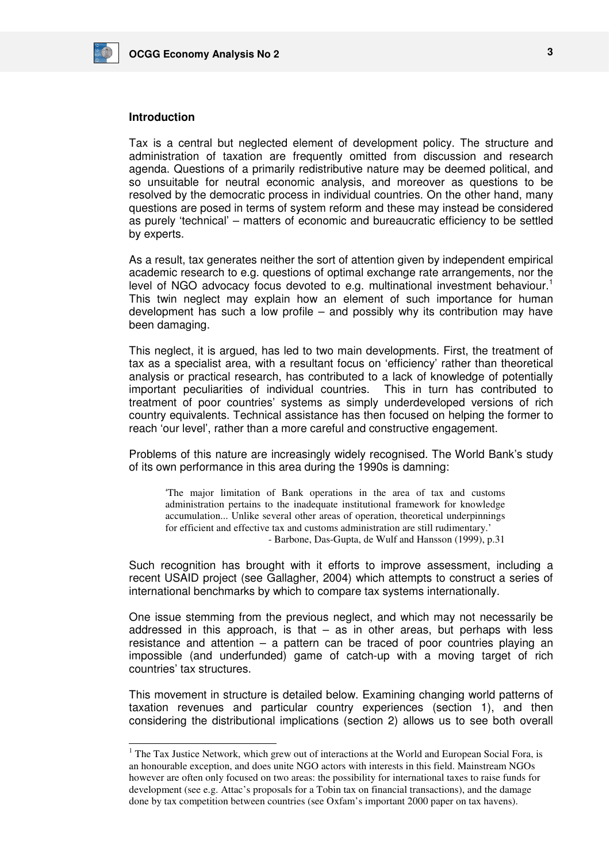

## **Introduction**

-

Tax is a central but neglected element of development policy. The structure and administration of taxation are frequently omitted from discussion and research agenda. Questions of a primarily redistributive nature may be deemed political, and so unsuitable for neutral economic analysis, and moreover as questions to be resolved by the democratic process in individual countries. On the other hand, many questions are posed in terms of system reform and these may instead be considered as purely 'technical' – matters of economic and bureaucratic efficiency to be settled by experts.

As a result, tax generates neither the sort of attention given by independent empirical academic research to e.g. questions of optimal exchange rate arrangements, nor the level of NGO advocacy focus devoted to e.g. multinational investment behaviour.<sup>1</sup> This twin neglect may explain how an element of such importance for human development has such a low profile – and possibly why its contribution may have been damaging.

This neglect, it is argued, has led to two main developments. First, the treatment of tax as a specialist area, with a resultant focus on 'efficiency' rather than theoretical analysis or practical research, has contributed to a lack of knowledge of potentially important peculiarities of individual countries. This in turn has contributed to treatment of poor countries' systems as simply underdeveloped versions of rich country equivalents. Technical assistance has then focused on helping the former to reach 'our level', rather than a more careful and constructive engagement.

Problems of this nature are increasingly widely recognised. The World Bank's study of its own performance in this area during the 1990s is damning:

'The major limitation of Bank operations in the area of tax and customs administration pertains to the inadequate institutional framework for knowledge accumulation... Unlike several other areas of operation, theoretical underpinnings for efficient and effective tax and customs administration are still rudimentary.' - Barbone, Das-Gupta, de Wulf and Hansson (1999), p.31

Such recognition has brought with it efforts to improve assessment, including a recent USAID project (see Gallagher, 2004) which attempts to construct a series of international benchmarks by which to compare tax systems internationally.

One issue stemming from the previous neglect, and which may not necessarily be addressed in this approach, is that – as in other areas, but perhaps with less resistance and attention – a pattern can be traced of poor countries playing an impossible (and underfunded) game of catch-up with a moving target of rich countries' tax structures.

This movement in structure is detailed below. Examining changing world patterns of taxation revenues and particular country experiences (section 1), and then considering the distributional implications (section 2) allows us to see both overall

<sup>&</sup>lt;sup>1</sup> The Tax Justice Network, which grew out of interactions at the World and European Social Fora, is an honourable exception, and does unite NGO actors with interests in this field. Mainstream NGOs however are often only focused on two areas: the possibility for international taxes to raise funds for development (see e.g. Attac's proposals for a Tobin tax on financial transactions), and the damage done by tax competition between countries (see Oxfam's important 2000 paper on tax havens).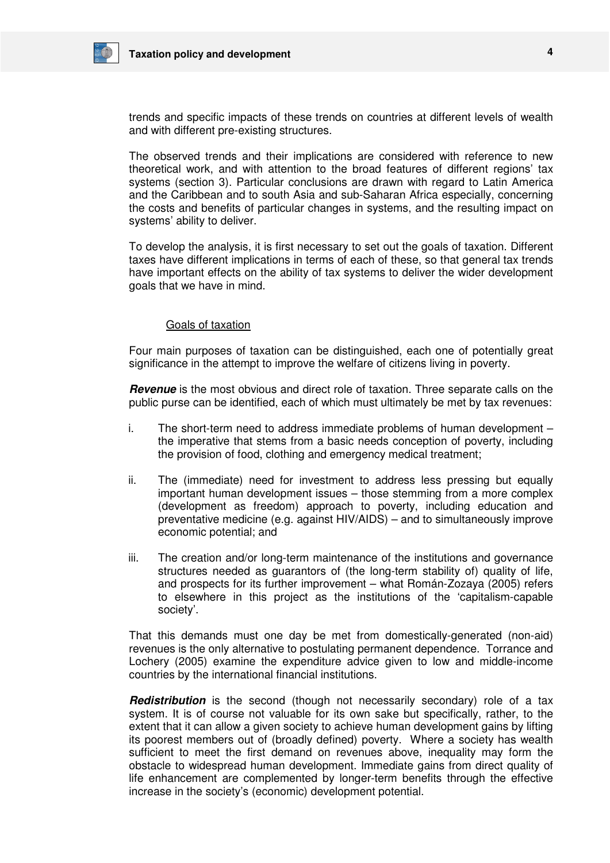

trends and specific impacts of these trends on countries at different levels of wealth and with different pre-existing structures.

The observed trends and their implications are considered with reference to new theoretical work, and with attention to the broad features of different regions' tax systems (section 3). Particular conclusions are drawn with regard to Latin America and the Caribbean and to south Asia and sub-Saharan Africa especially, concerning the costs and benefits of particular changes in systems, and the resulting impact on systems' ability to deliver.

To develop the analysis, it is first necessary to set out the goals of taxation. Different taxes have different implications in terms of each of these, so that general tax trends have important effects on the ability of tax systems to deliver the wider development goals that we have in mind.

## Goals of taxation

Four main purposes of taxation can be distinguished, each one of potentially great significance in the attempt to improve the welfare of citizens living in poverty.

**Revenue** is the most obvious and direct role of taxation. Three separate calls on the public purse can be identified, each of which must ultimately be met by tax revenues:

- i. The short-term need to address immediate problems of human development the imperative that stems from a basic needs conception of poverty, including the provision of food, clothing and emergency medical treatment;
- ii. The (immediate) need for investment to address less pressing but equally important human development issues – those stemming from a more complex (development as freedom) approach to poverty, including education and preventative medicine (e.g. against HIV/AIDS) – and to simultaneously improve economic potential; and
- iii. The creation and/or long-term maintenance of the institutions and governance structures needed as guarantors of (the long-term stability of) quality of life, and prospects for its further improvement – what Román-Zozaya (2005) refers to elsewhere in this project as the institutions of the 'capitalism-capable society'.

That this demands must one day be met from domestically-generated (non-aid) revenues is the only alternative to postulating permanent dependence. Torrance and Lochery (2005) examine the expenditure advice given to low and middle-income countries by the international financial institutions.

**Redistribution** is the second (though not necessarily secondary) role of a tax system. It is of course not valuable for its own sake but specifically, rather, to the extent that it can allow a given society to achieve human development gains by lifting its poorest members out of (broadly defined) poverty. Where a society has wealth sufficient to meet the first demand on revenues above, inequality may form the obstacle to widespread human development. Immediate gains from direct quality of life enhancement are complemented by longer-term benefits through the effective increase in the society's (economic) development potential.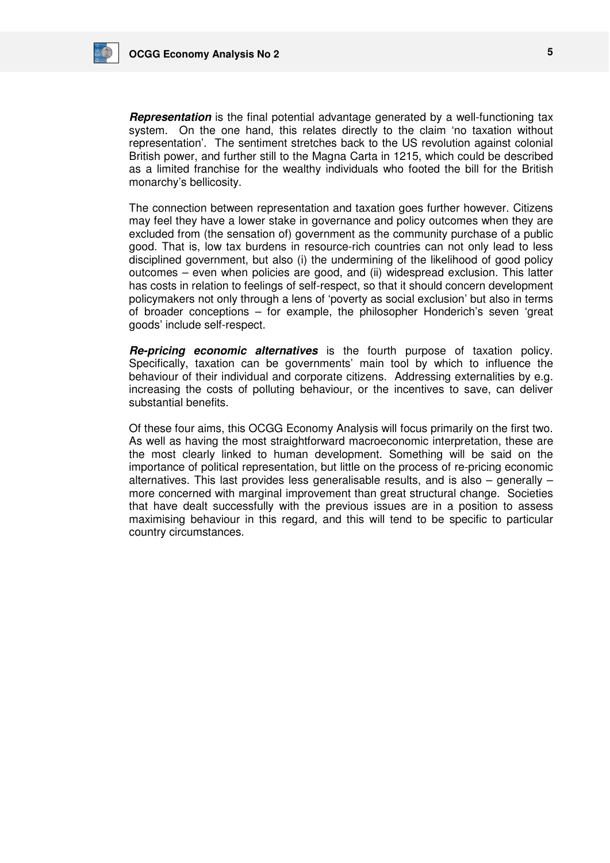

**Representation** is the final potential advantage generated by a well-functioning tax system. On the one hand, this relates directly to the claim 'no taxation without representation'. The sentiment stretches back to the US revolution against colonial British power, and further still to the Magna Carta in 1215, which could be described as a limited franchise for the wealthy individuals who footed the bill for the British monarchy's bellicosity.

The connection between representation and taxation goes further however. Citizens may feel they have a lower stake in governance and policy outcomes when they are excluded from (the sensation of) government as the community purchase of a public good. That is, low tax burdens in resource-rich countries can not only lead to less disciplined government, but also (i) the undermining of the likelihood of good policy outcomes – even when policies are good, and (ii) widespread exclusion. This latter has costs in relation to feelings of self-respect, so that it should concern development policymakers not only through a lens of 'poverty as social exclusion' but also in terms of broader conceptions – for example, the philosopher Honderich's seven 'great goods' include self-respect.

**Re-pricing economic alternatives** is the fourth purpose of taxation policy. Specifically, taxation can be governments' main tool by which to influence the behaviour of their individual and corporate citizens. Addressing externalities by e.g. increasing the costs of polluting behaviour, or the incentives to save, can deliver substantial benefits.

Of these four aims, this OCGG Economy Analysis will focus primarily on the first two. As well as having the most straightforward macroeconomic interpretation, these are the most clearly linked to human development. Something will be said on the importance of political representation, but little on the process of re-pricing economic alternatives. This last provides less generalisable results, and is also – generally – more concerned with marginal improvement than great structural change. Societies that have dealt successfully with the previous issues are in a position to assess maximising behaviour in this regard, and this will tend to be specific to particular country circumstances.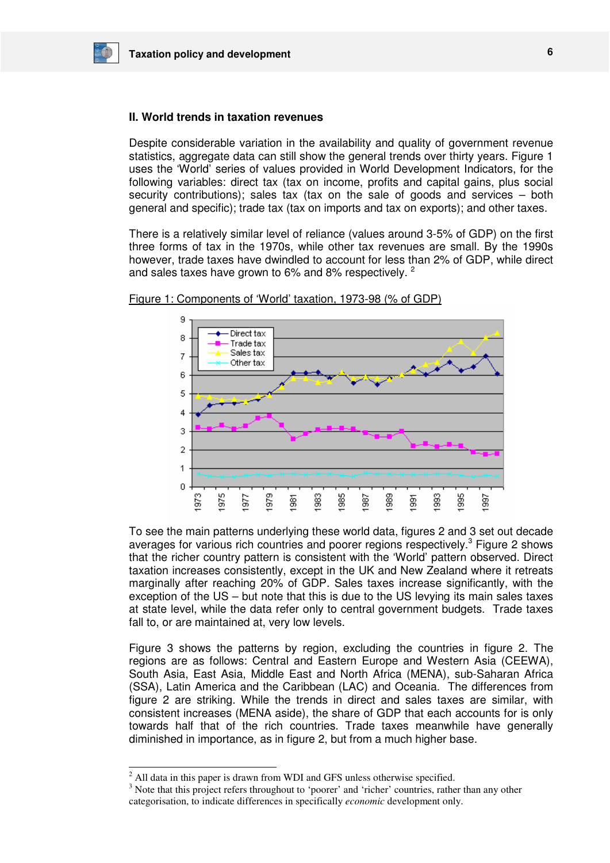## **II. World trends in taxation revenues**

Despite considerable variation in the availability and quality of government revenue statistics, aggregate data can still show the general trends over thirty years. Figure 1 uses the 'World' series of values provided in World Development Indicators, for the following variables: direct tax (tax on income, profits and capital gains, plus social security contributions); sales tax (tax on the sale of goods and services – both general and specific); trade tax (tax on imports and tax on exports); and other taxes.

There is a relatively similar level of reliance (values around 3-5% of GDP) on the first three forms of tax in the 1970s, while other tax revenues are small. By the 1990s however, trade taxes have dwindled to account for less than 2% of GDP, while direct and sales taxes have grown to 6% and 8% respectively. <sup>2</sup>



Figure 1: Components of 'World' taxation, 1973-98 (% of GDP)

To see the main patterns underlying these world data, figures 2 and 3 set out decade averages for various rich countries and poorer regions respectively.<sup>3</sup> Figure 2 shows that the richer country pattern is consistent with the 'World' pattern observed. Direct taxation increases consistently, except in the UK and New Zealand where it retreats marginally after reaching 20% of GDP. Sales taxes increase significantly, with the exception of the US – but note that this is due to the US levying its main sales taxes at state level, while the data refer only to central government budgets. Trade taxes fall to, or are maintained at, very low levels.

Figure 3 shows the patterns by region, excluding the countries in figure 2. The regions are as follows: Central and Eastern Europe and Western Asia (CEEWA), South Asia, East Asia, Middle East and North Africa (MENA), sub-Saharan Africa (SSA), Latin America and the Caribbean (LAC) and Oceania. The differences from figure 2 are striking. While the trends in direct and sales taxes are similar, with consistent increases (MENA aside), the share of GDP that each accounts for is only towards half that of the rich countries. Trade taxes meanwhile have generally diminished in importance, as in figure 2, but from a much higher base.

-

 $2$  All data in this paper is drawn from WDI and GFS unless otherwise specified.

<sup>&</sup>lt;sup>3</sup> Note that this project refers throughout to 'poorer' and 'richer' countries, rather than any other categorisation, to indicate differences in specifically *economic* development only.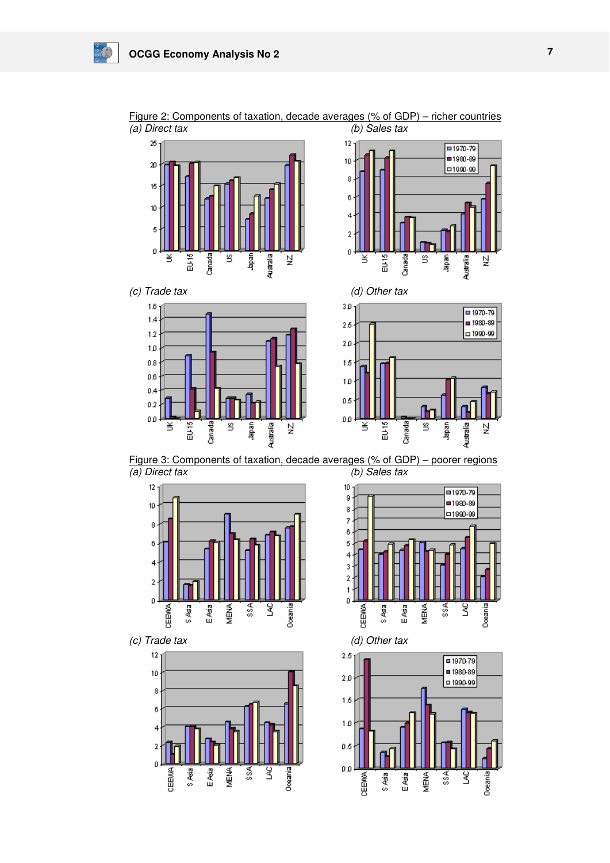

Figure 2: Components of taxation, decade averages (% of GDP) – richer countries (a) Direct tax<br>(b) Sales tax  $\overline{(a)}$  Direct tax





 $\sqrt{1970.79}$ ■1980-89

21990-99

**Japan** 

힟 Australia

Figure 3: Components of taxation, decade averages (% of GDP) – poorer regions (a) Direct tax (b) Sales tax



(c) Trade tax (d) Other tax







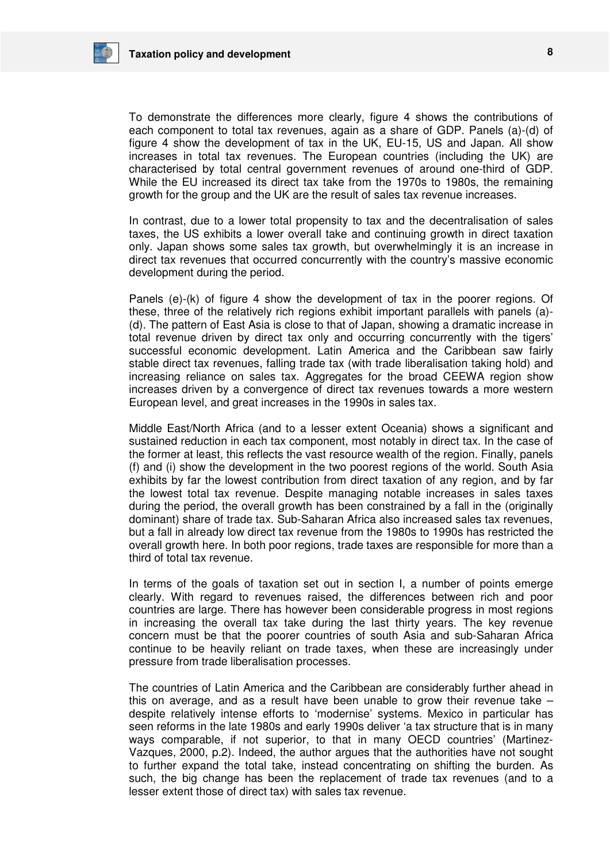

To demonstrate the differences more clearly, figure 4 shows the contributions of each component to total tax revenues, again as a share of GDP. Panels (a)-(d) of figure 4 show the development of tax in the UK, EU-15, US and Japan. All show increases in total tax revenues. The European countries (including the UK) are characterised by total central government revenues of around one-third of GDP. While the EU increased its direct tax take from the 1970s to 1980s, the remaining growth for the group and the UK are the result of sales tax revenue increases.

In contrast, due to a lower total propensity to tax and the decentralisation of sales taxes, the US exhibits a lower overall take and continuing growth in direct taxation only. Japan shows some sales tax growth, but overwhelmingly it is an increase in direct tax revenues that occurred concurrently with the country's massive economic development during the period.

Panels (e)-(k) of figure 4 show the development of tax in the poorer regions. Of these, three of the relatively rich regions exhibit important parallels with panels (a)- (d). The pattern of East Asia is close to that of Japan, showing a dramatic increase in total revenue driven by direct tax only and occurring concurrently with the tigers' successful economic development. Latin America and the Caribbean saw fairly stable direct tax revenues, falling trade tax (with trade liberalisation taking hold) and increasing reliance on sales tax. Aggregates for the broad CEEWA region show increases driven by a convergence of direct tax revenues towards a more western European level, and great increases in the 1990s in sales tax.

Middle East/North Africa (and to a lesser extent Oceania) shows a significant and sustained reduction in each tax component, most notably in direct tax. In the case of the former at least, this reflects the vast resource wealth of the region. Finally, panels (f) and (i) show the development in the two poorest regions of the world. South Asia exhibits by far the lowest contribution from direct taxation of any region, and by far the lowest total tax revenue. Despite managing notable increases in sales taxes during the period, the overall growth has been constrained by a fall in the (originally dominant) share of trade tax. Sub-Saharan Africa also increased sales tax revenues, but a fall in already low direct tax revenue from the 1980s to 1990s has restricted the overall growth here. In both poor regions, trade taxes are responsible for more than a third of total tax revenue.

In terms of the goals of taxation set out in section I, a number of points emerge clearly. With regard to revenues raised, the differences between rich and poor countries are large. There has however been considerable progress in most regions in increasing the overall tax take during the last thirty years. The key revenue concern must be that the poorer countries of south Asia and sub-Saharan Africa continue to be heavily reliant on trade taxes, when these are increasingly under pressure from trade liberalisation processes.

The countries of Latin America and the Caribbean are considerably further ahead in this on average, and as a result have been unable to grow their revenue take – despite relatively intense efforts to 'modernise' systems. Mexico in particular has seen reforms in the late 1980s and early 1990s deliver 'a tax structure that is in many ways comparable, if not superior, to that in many OECD countries' (Martinez-Vazques, 2000, p.2). Indeed, the author argues that the authorities have not sought to further expand the total take, instead concentrating on shifting the burden. As such, the big change has been the replacement of trade tax revenues (and to a lesser extent those of direct tax) with sales tax revenue.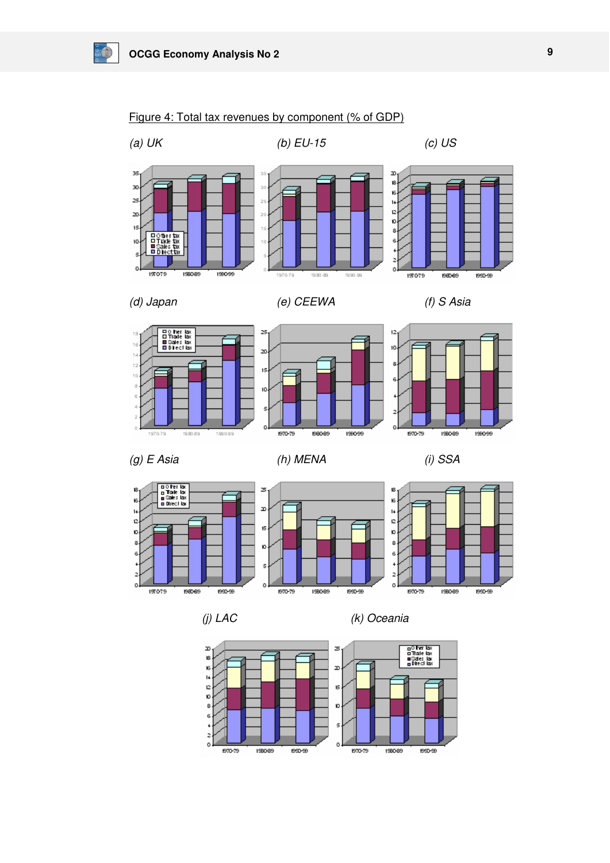$\frac{1}{2}$ 



## Figure 4: Total tax revenues by component (% of GDP)





















(j) LAC (k) Oceania

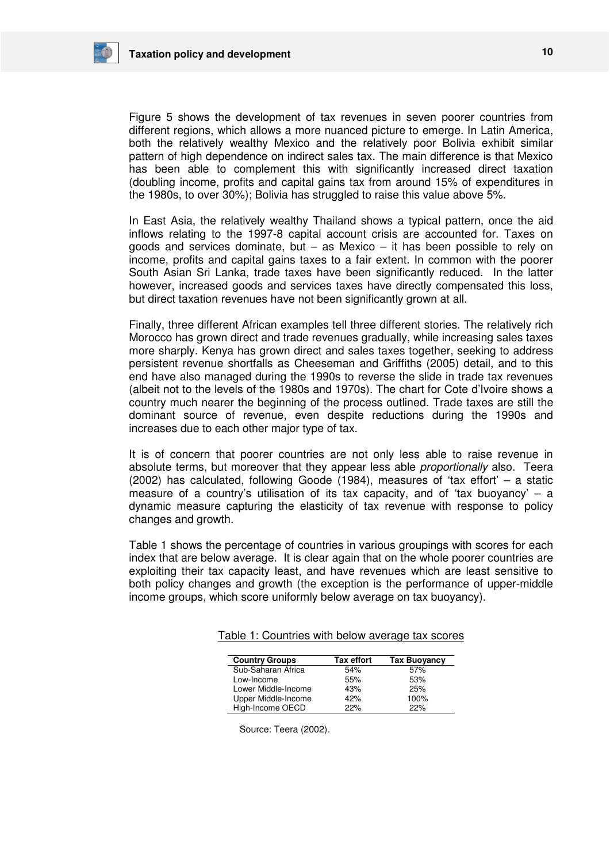

Figure 5 shows the development of tax revenues in seven poorer countries from different regions, which allows a more nuanced picture to emerge. In Latin America, both the relatively wealthy Mexico and the relatively poor Bolivia exhibit similar pattern of high dependence on indirect sales tax. The main difference is that Mexico has been able to complement this with significantly increased direct taxation (doubling income, profits and capital gains tax from around 15% of expenditures in the 1980s, to over 30%); Bolivia has struggled to raise this value above 5%.

In East Asia, the relatively wealthy Thailand shows a typical pattern, once the aid inflows relating to the 1997-8 capital account crisis are accounted for. Taxes on goods and services dominate, but  $-$  as Mexico  $-$  it has been possible to rely on income, profits and capital gains taxes to a fair extent. In common with the poorer South Asian Sri Lanka, trade taxes have been significantly reduced. In the latter however, increased goods and services taxes have directly compensated this loss, but direct taxation revenues have not been significantly grown at all.

Finally, three different African examples tell three different stories. The relatively rich Morocco has grown direct and trade revenues gradually, while increasing sales taxes more sharply. Kenya has grown direct and sales taxes together, seeking to address persistent revenue shortfalls as Cheeseman and Griffiths (2005) detail, and to this end have also managed during the 1990s to reverse the slide in trade tax revenues (albeit not to the levels of the 1980s and 1970s). The chart for Cote d'Ivoire shows a country much nearer the beginning of the process outlined. Trade taxes are still the dominant source of revenue, even despite reductions during the 1990s and increases due to each other major type of tax.

It is of concern that poorer countries are not only less able to raise revenue in absolute terms, but moreover that they appear less able *proportionally* also. Teera (2002) has calculated, following Goode (1984), measures of 'tax effort' – a static measure of a country's utilisation of its tax capacity, and of 'tax buoyancy'  $-$  a dynamic measure capturing the elasticity of tax revenue with response to policy changes and growth.

Table 1 shows the percentage of countries in various groupings with scores for each index that are below average. It is clear again that on the whole poorer countries are exploiting their tax capacity least, and have revenues which are least sensitive to both policy changes and growth (the exception is the performance of upper-middle income groups, which score uniformly below average on tax buoyancy).

| <b>Country Groups</b> | <b>Tax effort</b> | <b>Tax Buoyancy</b> |
|-----------------------|-------------------|---------------------|
| Sub-Saharan Africa    | 54%               | 57%                 |
| Low-Income            | 55%               | 53%                 |
| Lower Middle-Income   | 43%               | 25%                 |
| Upper Middle-Income   | 42%               | 100%                |
| High-Income OECD      | 22%               | 22%                 |

Table 1: Countries with below average tax scores

Source: Teera (2002).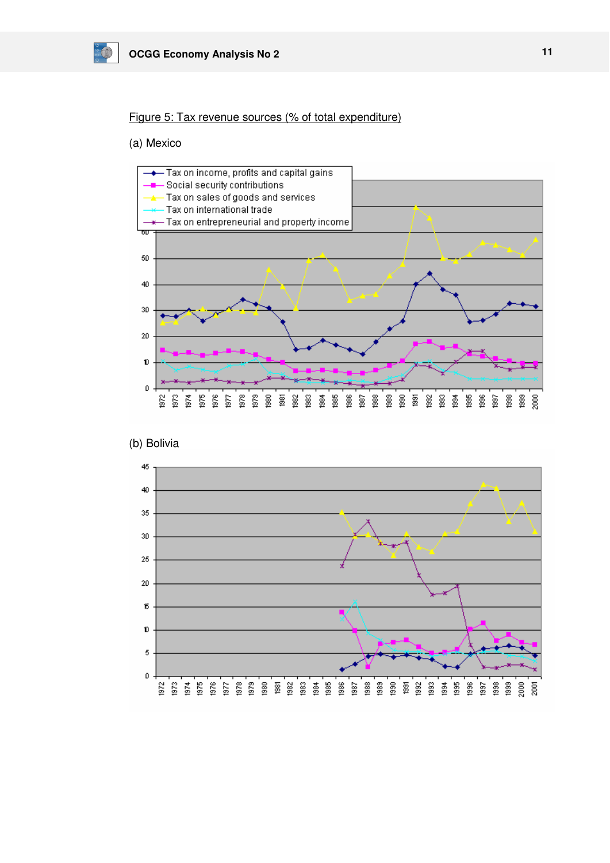

## Figure 5: Tax revenue sources (% of total expenditure)

## (a) Mexico





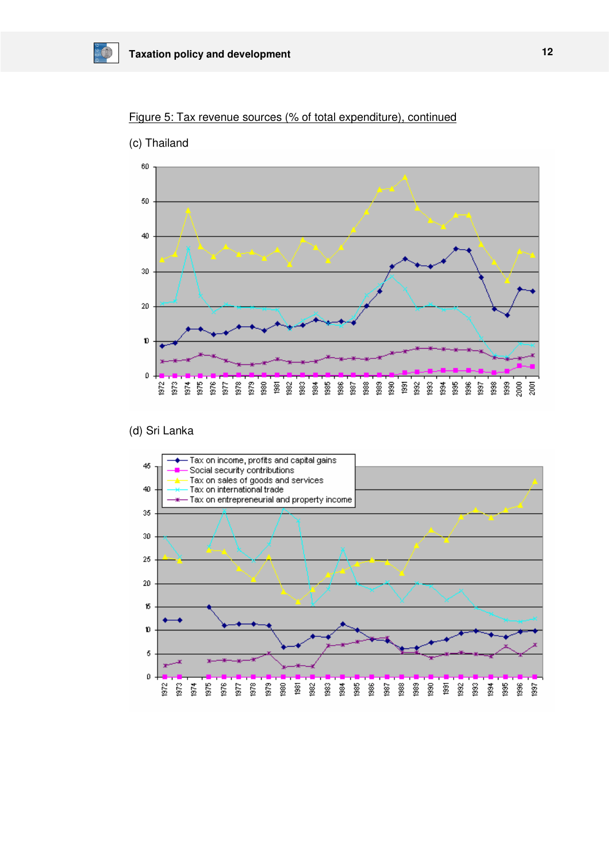



<sup>(</sup>c) Thailand

 $\frac{1}{2}$ 

## (d) Sri Lanka

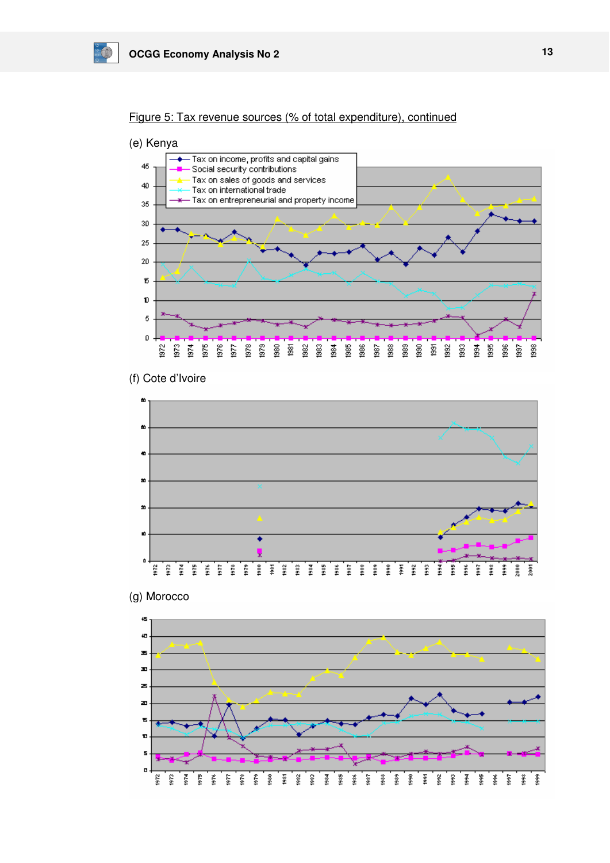





(f) Cote d'Ivoire



(g) Morocco

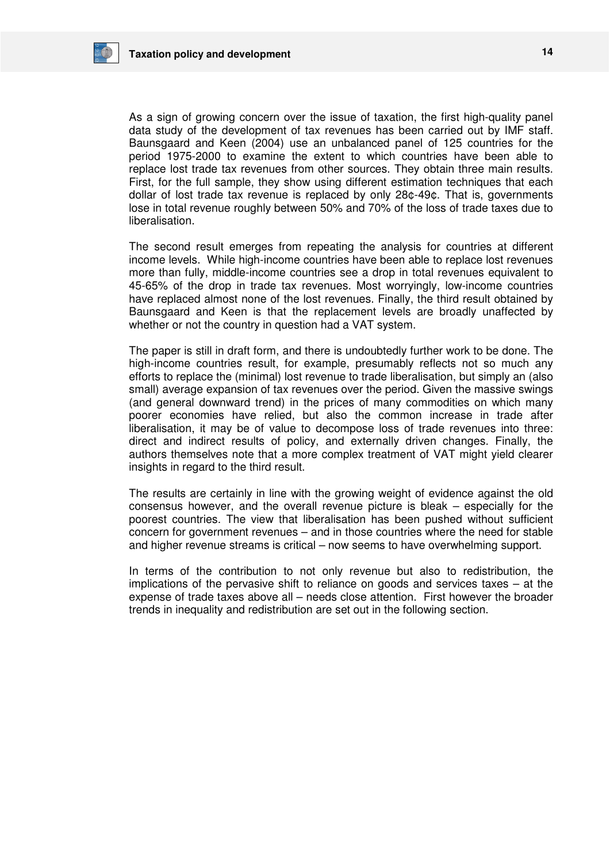

As a sign of growing concern over the issue of taxation, the first high-quality panel data study of the development of tax revenues has been carried out by IMF staff. Baunsgaard and Keen (2004) use an unbalanced panel of 125 countries for the period 1975-2000 to examine the extent to which countries have been able to replace lost trade tax revenues from other sources. They obtain three main results. First, for the full sample, they show using different estimation techniques that each dollar of lost trade tax revenue is replaced by only 28¢-49¢. That is, governments lose in total revenue roughly between 50% and 70% of the loss of trade taxes due to liberalisation.

The second result emerges from repeating the analysis for countries at different income levels. While high-income countries have been able to replace lost revenues more than fully, middle-income countries see a drop in total revenues equivalent to 45-65% of the drop in trade tax revenues. Most worryingly, low-income countries have replaced almost none of the lost revenues. Finally, the third result obtained by Baunsgaard and Keen is that the replacement levels are broadly unaffected by whether or not the country in question had a VAT system.

The paper is still in draft form, and there is undoubtedly further work to be done. The high-income countries result, for example, presumably reflects not so much any efforts to replace the (minimal) lost revenue to trade liberalisation, but simply an (also small) average expansion of tax revenues over the period. Given the massive swings (and general downward trend) in the prices of many commodities on which many poorer economies have relied, but also the common increase in trade after liberalisation, it may be of value to decompose loss of trade revenues into three: direct and indirect results of policy, and externally driven changes. Finally, the authors themselves note that a more complex treatment of VAT might yield clearer insights in regard to the third result.

The results are certainly in line with the growing weight of evidence against the old consensus however, and the overall revenue picture is bleak – especially for the poorest countries. The view that liberalisation has been pushed without sufficient concern for government revenues – and in those countries where the need for stable and higher revenue streams is critical – now seems to have overwhelming support.

In terms of the contribution to not only revenue but also to redistribution, the implications of the pervasive shift to reliance on goods and services taxes – at the expense of trade taxes above all – needs close attention. First however the broader trends in inequality and redistribution are set out in the following section.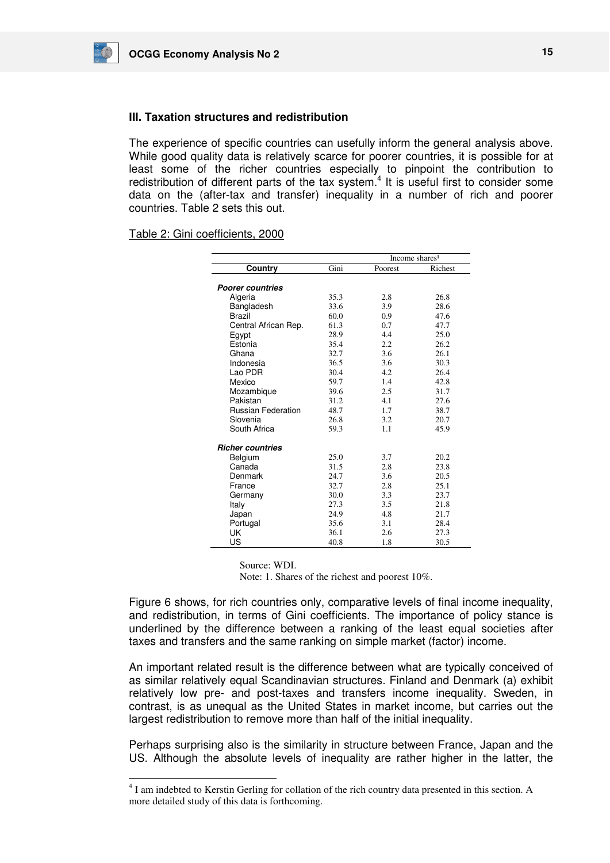## **III. Taxation structures and redistribution**

The experience of specific countries can usefully inform the general analysis above. While good quality data is relatively scarce for poorer countries, it is possible for at least some of the richer countries especially to pinpoint the contribution to redistribution of different parts of the tax system.<sup>4</sup> It is useful first to consider some data on the (after-tax and transfer) inequality in a number of rich and poorer countries. Table 2 sets this out.

## Table 2: Gini coefficients, 2000

|                           | Income shares <sup>1</sup> |         |         |
|---------------------------|----------------------------|---------|---------|
| Country                   | Gini                       | Poorest | Richest |
|                           |                            |         |         |
| <b>Poorer countries</b>   |                            |         |         |
| Algeria                   | 35.3                       | 2.8     | 26.8    |
| Bangladesh                | 33.6                       | 3.9     | 28.6    |
| Brazil                    | 60.0                       | 0.9     | 47.6    |
| Central African Rep.      | 61.3                       | 0.7     | 47.7    |
| Egypt                     | 28.9                       | 4.4     | 25.0    |
| Estonia                   | 35.4                       | 2.2     | 26.2    |
| Ghana                     | 32.7                       | 3.6     | 26.1    |
| Indonesia                 | 36.5                       | 3.6     | 30.3    |
| Lao PDR                   | 30.4                       | 4.2     | 26.4    |
| Mexico                    | 59.7                       | 1.4     | 42.8    |
| Mozambique                | 39.6                       | 2.5     | 31.7    |
| Pakistan                  | 31.2                       | 4.1     | 27.6    |
| <b>Russian Federation</b> | 48.7                       | 1.7     | 38.7    |
| Slovenia                  | 26.8                       | 3.2     | 20.7    |
| South Africa              | 59.3                       | 1.1     | 45.9    |
| <b>Richer countries</b>   |                            |         |         |
| Belgium                   | 25.0                       | 3.7     | 20.2    |
| Canada                    | 31.5                       | 2.8     | 23.8    |
| Denmark                   | 24.7                       | 3.6     | 20.5    |
| France                    | 32.7                       | 2.8     | 25.1    |
| Germany                   | 30.0                       | 3.3     | 23.7    |
| Italy                     | 27.3                       | 3.5     | 21.8    |
| Japan                     | 24.9                       | 4.8     | 21.7    |
| Portugal                  | 35.6                       | 3.1     | 28.4    |
| UK                        | 36.1                       | 2.6     | 27.3    |
| US                        | 40.8                       | 1.8     | 30.5    |

Source: WDI.

-

Note: 1. Shares of the richest and poorest 10%.

Figure 6 shows, for rich countries only, comparative levels of final income inequality, and redistribution, in terms of Gini coefficients. The importance of policy stance is underlined by the difference between a ranking of the least equal societies after taxes and transfers and the same ranking on simple market (factor) income.

An important related result is the difference between what are typically conceived of as similar relatively equal Scandinavian structures. Finland and Denmark (a) exhibit relatively low pre- and post-taxes and transfers income inequality. Sweden, in contrast, is as unequal as the United States in market income, but carries out the largest redistribution to remove more than half of the initial inequality.

Perhaps surprising also is the similarity in structure between France, Japan and the US. Although the absolute levels of inequality are rather higher in the latter, the

<sup>&</sup>lt;sup>4</sup> I am indebted to Kerstin Gerling for collation of the rich country data presented in this section. A more detailed study of this data is forthcoming.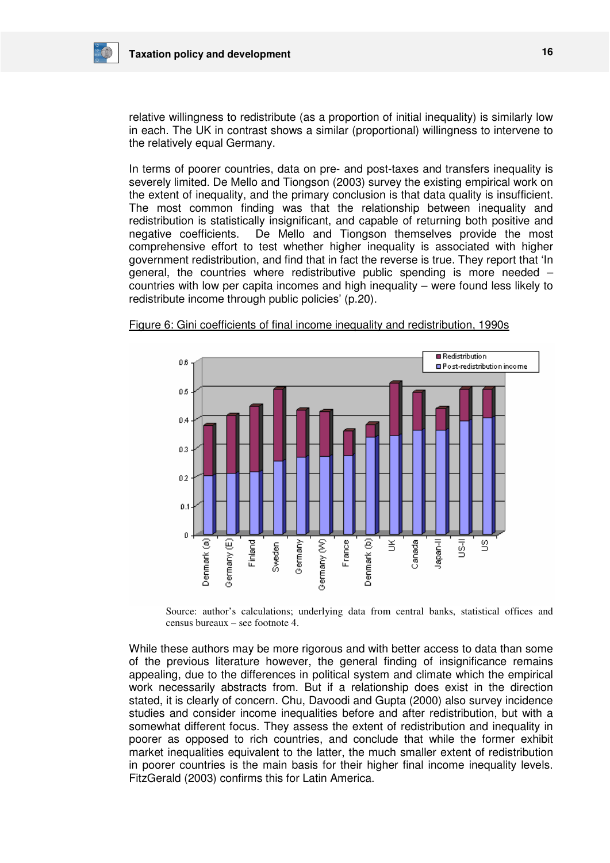

relative willingness to redistribute (as a proportion of initial inequality) is similarly low in each. The UK in contrast shows a similar (proportional) willingness to intervene to the relatively equal Germany.

In terms of poorer countries, data on pre- and post-taxes and transfers inequality is severely limited. De Mello and Tiongson (2003) survey the existing empirical work on the extent of inequality, and the primary conclusion is that data quality is insufficient. The most common finding was that the relationship between inequality and redistribution is statistically insignificant, and capable of returning both positive and negative coefficients. De Mello and Tiongson themselves provide the most comprehensive effort to test whether higher inequality is associated with higher government redistribution, and find that in fact the reverse is true. They report that 'In general, the countries where redistributive public spending is more needed – countries with low per capita incomes and high inequality – were found less likely to redistribute income through public policies' (p.20).



Figure 6: Gini coefficients of final income inequality and redistribution, 1990s

Source: author's calculations; underlying data from central banks, statistical offices and census bureaux – see footnote 4.

While these authors may be more rigorous and with better access to data than some of the previous literature however, the general finding of insignificance remains appealing, due to the differences in political system and climate which the empirical work necessarily abstracts from. But if a relationship does exist in the direction stated, it is clearly of concern. Chu, Davoodi and Gupta (2000) also survey incidence studies and consider income inequalities before and after redistribution, but with a somewhat different focus. They assess the extent of redistribution and inequality in poorer as opposed to rich countries, and conclude that while the former exhibit market inequalities equivalent to the latter, the much smaller extent of redistribution in poorer countries is the main basis for their higher final income inequality levels. FitzGerald (2003) confirms this for Latin America.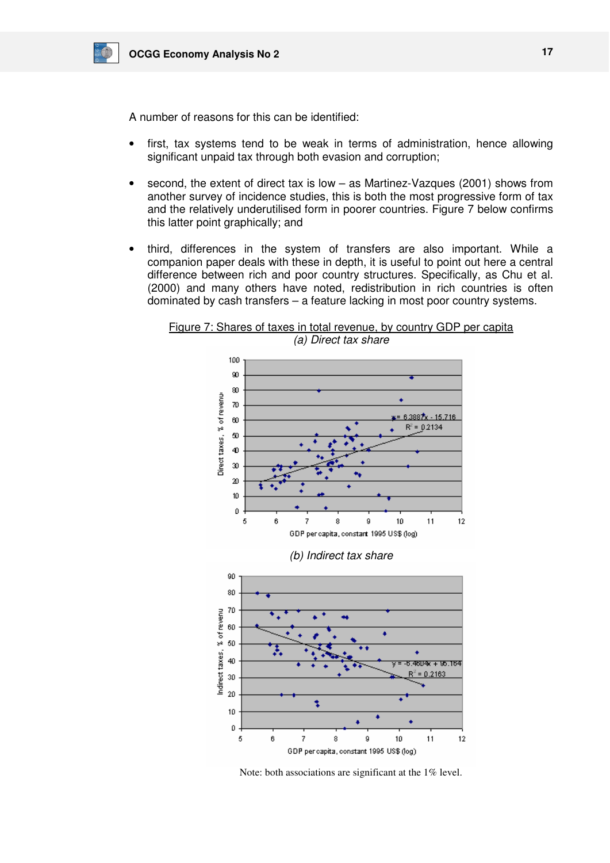

A number of reasons for this can be identified:

- first, tax systems tend to be weak in terms of administration, hence allowing significant unpaid tax through both evasion and corruption;
- second, the extent of direct tax is low  $-$  as Martinez-Vazques (2001) shows from another survey of incidence studies, this is both the most progressive form of tax and the relatively underutilised form in poorer countries. Figure 7 below confirms this latter point graphically; and
- third, differences in the system of transfers are also important. While a companion paper deals with these in depth, it is useful to point out here a central difference between rich and poor country structures. Specifically, as Chu et al. (2000) and many others have noted, redistribution in rich countries is often dominated by cash transfers – a feature lacking in most poor country systems.

Figure 7: Shares of taxes in total revenue, by country GDP per capita (a) Direct tax share



Note: both associations are significant at the 1% level.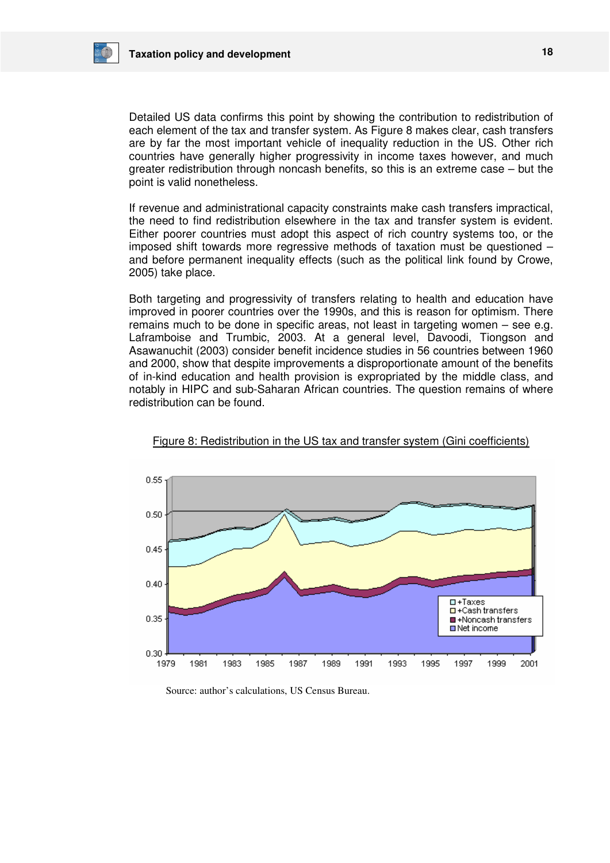

Detailed US data confirms this point by showing the contribution to redistribution of each element of the tax and transfer system. As Figure 8 makes clear, cash transfers are by far the most important vehicle of inequality reduction in the US. Other rich countries have generally higher progressivity in income taxes however, and much greater redistribution through noncash benefits, so this is an extreme case – but the point is valid nonetheless.

If revenue and administrational capacity constraints make cash transfers impractical, the need to find redistribution elsewhere in the tax and transfer system is evident. Either poorer countries must adopt this aspect of rich country systems too, or the imposed shift towards more regressive methods of taxation must be questioned – and before permanent inequality effects (such as the political link found by Crowe, 2005) take place.

Both targeting and progressivity of transfers relating to health and education have improved in poorer countries over the 1990s, and this is reason for optimism. There remains much to be done in specific areas, not least in targeting women – see e.g. Laframboise and Trumbic, 2003. At a general level, Davoodi, Tiongson and Asawanuchit (2003) consider benefit incidence studies in 56 countries between 1960 and 2000, show that despite improvements a disproportionate amount of the benefits of in-kind education and health provision is expropriated by the middle class, and notably in HIPC and sub-Saharan African countries. The question remains of where redistribution can be found.



Figure 8: Redistribution in the US tax and transfer system (Gini coefficients)

Source: author's calculations, US Census Bureau.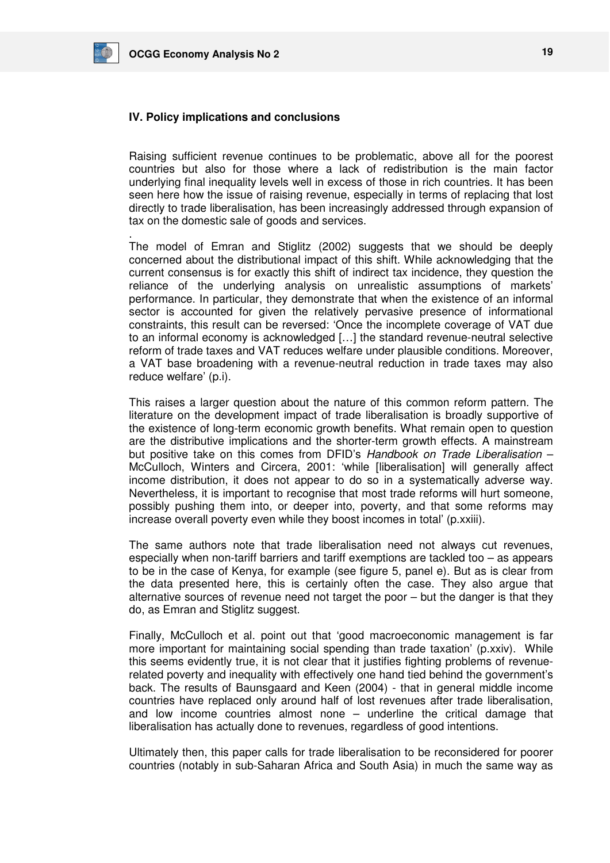

.

## **IV. Policy implications and conclusions**

Raising sufficient revenue continues to be problematic, above all for the poorest countries but also for those where a lack of redistribution is the main factor underlying final inequality levels well in excess of those in rich countries. It has been seen here how the issue of raising revenue, especially in terms of replacing that lost directly to trade liberalisation, has been increasingly addressed through expansion of tax on the domestic sale of goods and services.

The model of Emran and Stiglitz (2002) suggests that we should be deeply concerned about the distributional impact of this shift. While acknowledging that the current consensus is for exactly this shift of indirect tax incidence, they question the reliance of the underlying analysis on unrealistic assumptions of markets' performance. In particular, they demonstrate that when the existence of an informal sector is accounted for given the relatively pervasive presence of informational constraints, this result can be reversed: 'Once the incomplete coverage of VAT due to an informal economy is acknowledged […] the standard revenue-neutral selective reform of trade taxes and VAT reduces welfare under plausible conditions. Moreover, a VAT base broadening with a revenue-neutral reduction in trade taxes may also reduce welfare' (p.i).

This raises a larger question about the nature of this common reform pattern. The literature on the development impact of trade liberalisation is broadly supportive of the existence of long-term economic growth benefits. What remain open to question are the distributive implications and the shorter-term growth effects. A mainstream but positive take on this comes from DFID's Handbook on Trade Liberalisation – McCulloch, Winters and Circera, 2001: 'while [liberalisation] will generally affect income distribution, it does not appear to do so in a systematically adverse way. Nevertheless, it is important to recognise that most trade reforms will hurt someone, possibly pushing them into, or deeper into, poverty, and that some reforms may increase overall poverty even while they boost incomes in total' (p.xxiii).

The same authors note that trade liberalisation need not always cut revenues, especially when non-tariff barriers and tariff exemptions are tackled too – as appears to be in the case of Kenya, for example (see figure 5, panel e). But as is clear from the data presented here, this is certainly often the case. They also argue that alternative sources of revenue need not target the poor – but the danger is that they do, as Emran and Stiglitz suggest.

Finally, McCulloch et al. point out that 'good macroeconomic management is far more important for maintaining social spending than trade taxation' (p.xxiv). While this seems evidently true, it is not clear that it justifies fighting problems of revenuerelated poverty and inequality with effectively one hand tied behind the government's back. The results of Baunsgaard and Keen (2004) - that in general middle income countries have replaced only around half of lost revenues after trade liberalisation, and low income countries almost none – underline the critical damage that liberalisation has actually done to revenues, regardless of good intentions.

Ultimately then, this paper calls for trade liberalisation to be reconsidered for poorer countries (notably in sub-Saharan Africa and South Asia) in much the same way as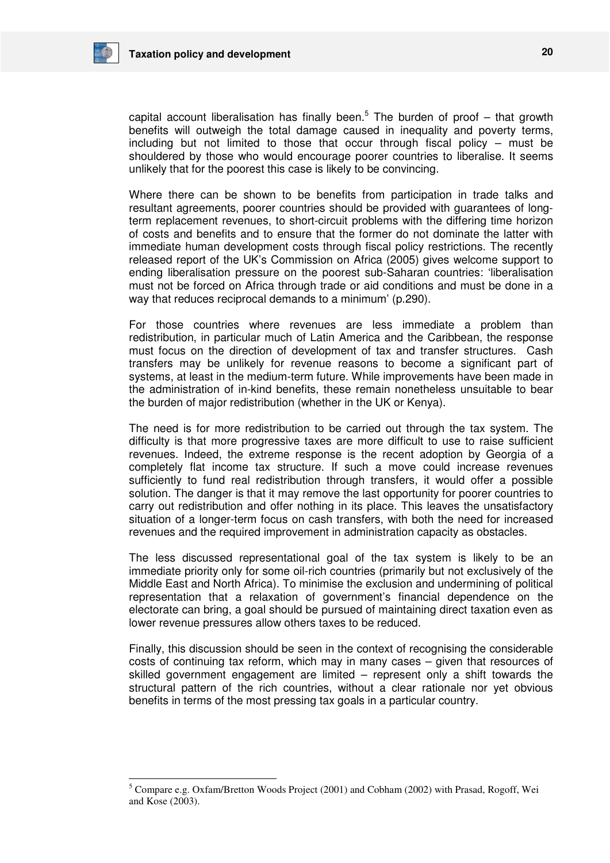

-

capital account liberalisation has finally been.<sup>5</sup> The burden of proof  $-$  that growth benefits will outweigh the total damage caused in inequality and poverty terms, including but not limited to those that occur through fiscal policy – must be shouldered by those who would encourage poorer countries to liberalise. It seems unlikely that for the poorest this case is likely to be convincing.

Where there can be shown to be benefits from participation in trade talks and resultant agreements, poorer countries should be provided with guarantees of longterm replacement revenues, to short-circuit problems with the differing time horizon of costs and benefits and to ensure that the former do not dominate the latter with immediate human development costs through fiscal policy restrictions. The recently released report of the UK's Commission on Africa (2005) gives welcome support to ending liberalisation pressure on the poorest sub-Saharan countries: 'liberalisation must not be forced on Africa through trade or aid conditions and must be done in a way that reduces reciprocal demands to a minimum' (p.290).

For those countries where revenues are less immediate a problem than redistribution, in particular much of Latin America and the Caribbean, the response must focus on the direction of development of tax and transfer structures. Cash transfers may be unlikely for revenue reasons to become a significant part of systems, at least in the medium-term future. While improvements have been made in the administration of in-kind benefits, these remain nonetheless unsuitable to bear the burden of major redistribution (whether in the UK or Kenya).

The need is for more redistribution to be carried out through the tax system. The difficulty is that more progressive taxes are more difficult to use to raise sufficient revenues. Indeed, the extreme response is the recent adoption by Georgia of a completely flat income tax structure. If such a move could increase revenues sufficiently to fund real redistribution through transfers, it would offer a possible solution. The danger is that it may remove the last opportunity for poorer countries to carry out redistribution and offer nothing in its place. This leaves the unsatisfactory situation of a longer-term focus on cash transfers, with both the need for increased revenues and the required improvement in administration capacity as obstacles.

The less discussed representational goal of the tax system is likely to be an immediate priority only for some oil-rich countries (primarily but not exclusively of the Middle East and North Africa). To minimise the exclusion and undermining of political representation that a relaxation of government's financial dependence on the electorate can bring, a goal should be pursued of maintaining direct taxation even as lower revenue pressures allow others taxes to be reduced.

Finally, this discussion should be seen in the context of recognising the considerable costs of continuing tax reform, which may in many cases – given that resources of skilled government engagement are limited – represent only a shift towards the structural pattern of the rich countries, without a clear rationale nor yet obvious benefits in terms of the most pressing tax goals in a particular country.

<sup>&</sup>lt;sup>5</sup> Compare e.g. Oxfam/Bretton Woods Project (2001) and Cobham (2002) with Prasad, Rogoff, Wei and Kose (2003).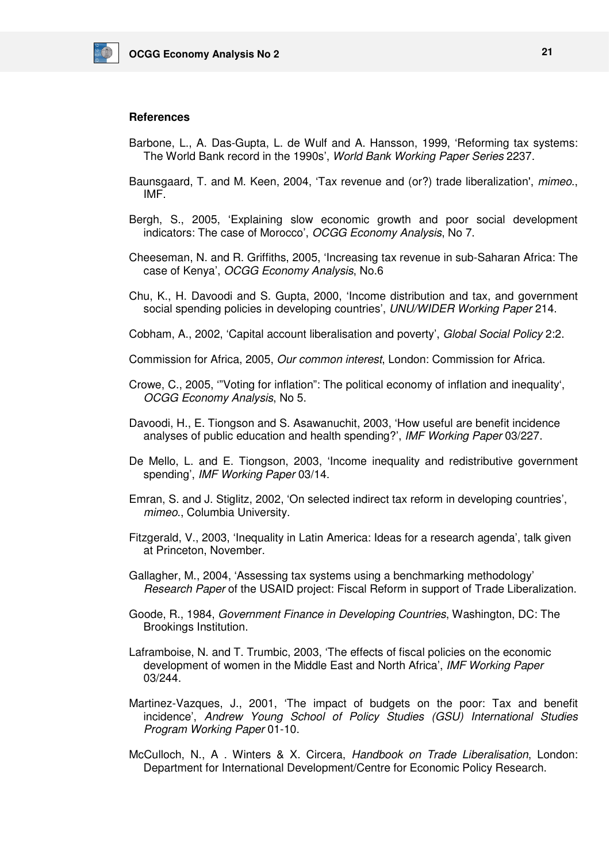

## **References**

- Barbone, L., A. Das-Gupta, L. de Wulf and A. Hansson, 1999, 'Reforming tax systems: The World Bank record in the 1990s', World Bank Working Paper Series 2237.
- Baunsgaard, T. and M. Keen, 2004, 'Tax revenue and (or?) trade liberalization', mimeo., IMF.
- Bergh, S., 2005, 'Explaining slow economic growth and poor social development indicators: The case of Morocco', OCGG Economy Analysis, No 7.
- Cheeseman, N. and R. Griffiths, 2005, 'Increasing tax revenue in sub-Saharan Africa: The case of Kenya', OCGG Economy Analysis, No.6
- Chu, K., H. Davoodi and S. Gupta, 2000, 'Income distribution and tax, and government social spending policies in developing countries', UNU/WIDER Working Paper 214.
- Cobham, A., 2002, 'Capital account liberalisation and poverty', Global Social Policy 2:2.
- Commission for Africa, 2005, Our common interest, London: Commission for Africa.
- Crowe, C., 2005, '"Voting for inflation": The political economy of inflation and inequality', OCGG Economy Analysis, No 5.
- Davoodi, H., E. Tiongson and S. Asawanuchit, 2003, 'How useful are benefit incidence analyses of public education and health spending?', IMF Working Paper 03/227.
- De Mello, L. and E. Tiongson, 2003, 'Income inequality and redistributive government spending', IMF Working Paper 03/14.
- Emran, S. and J. Stiglitz, 2002, 'On selected indirect tax reform in developing countries', mimeo., Columbia University.
- Fitzgerald, V., 2003, 'Inequality in Latin America: Ideas for a research agenda', talk given at Princeton, November.
- Gallagher, M., 2004, 'Assessing tax systems using a benchmarking methodology' Research Paper of the USAID project: Fiscal Reform in support of Trade Liberalization.
- Goode, R., 1984, Government Finance in Developing Countries, Washington, DC: The Brookings Institution.
- Laframboise, N. and T. Trumbic, 2003, 'The effects of fiscal policies on the economic development of women in the Middle East and North Africa', IMF Working Paper 03/244.
- Martinez-Vazques, J., 2001, 'The impact of budgets on the poor: Tax and benefit incidence', Andrew Young School of Policy Studies (GSU) International Studies Program Working Paper 01-10.
- McCulloch, N., A . Winters & X. Circera, Handbook on Trade Liberalisation, London: Department for International Development/Centre for Economic Policy Research.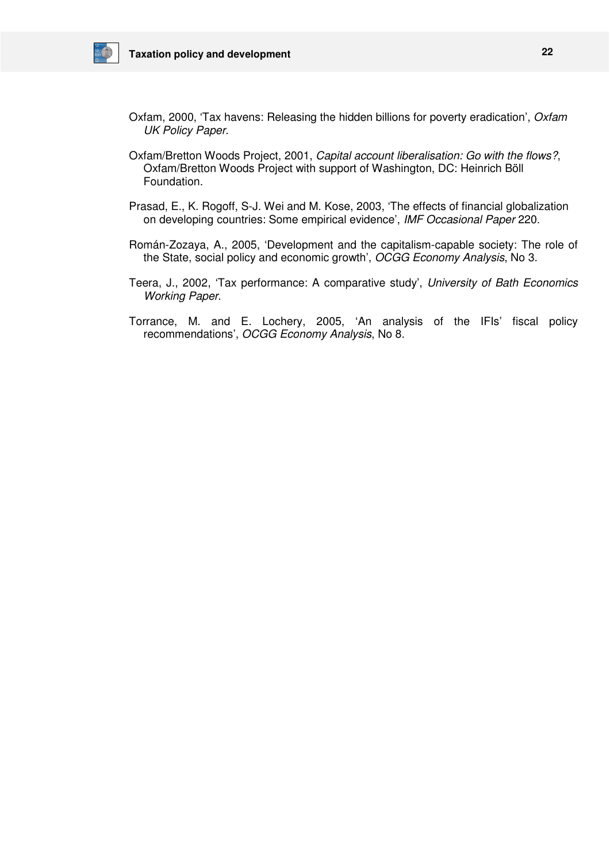

- Oxfam, 2000, 'Tax havens: Releasing the hidden billions for poverty eradication', Oxfam UK Policy Paper.
- Oxfam/Bretton Woods Project, 2001, Capital account liberalisation: Go with the flows?, Oxfam/Bretton Woods Project with support of Washington, DC: Heinrich Böll Foundation.
- Prasad, E., K. Rogoff, S-J. Wei and M. Kose, 2003, 'The effects of financial globalization on developing countries: Some empirical evidence', IMF Occasional Paper 220.
- Román-Zozaya, A., 2005, 'Development and the capitalism-capable society: The role of the State, social policy and economic growth', OCGG Economy Analysis, No 3.
- Teera, J., 2002, 'Tax performance: A comparative study', University of Bath Economics Working Paper.
- Torrance, M. and E. Lochery, 2005, 'An analysis of the IFIs' fiscal policy recommendations', OCGG Economy Analysis, No 8.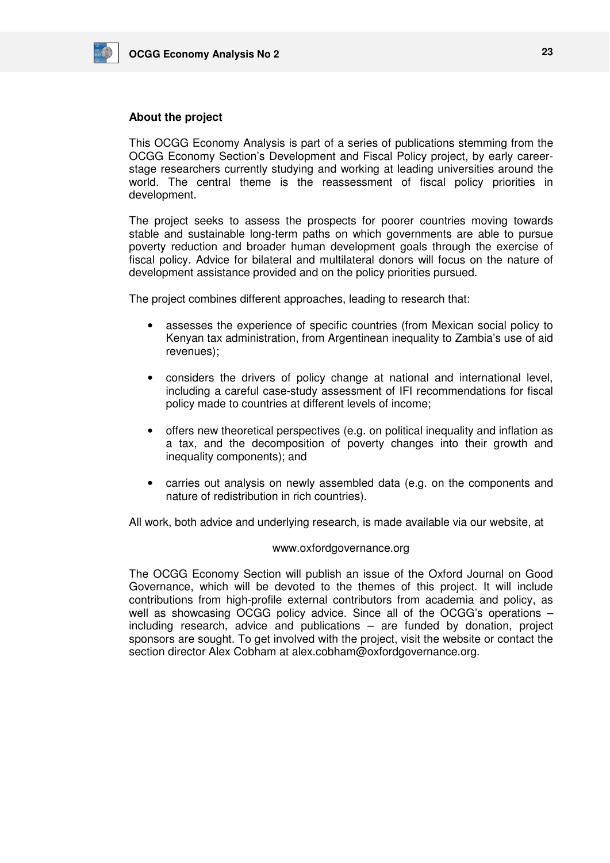

## **About the project**

This OCGG Economy Analysis is part of a series of publications stemming from the OCGG Economy Section's Development and Fiscal Policy project, by early careerstage researchers currently studying and working at leading universities around the world. The central theme is the reassessment of fiscal policy priorities in development.

The project seeks to assess the prospects for poorer countries moving towards stable and sustainable long-term paths on which governments are able to pursue poverty reduction and broader human development goals through the exercise of fiscal policy. Advice for bilateral and multilateral donors will focus on the nature of development assistance provided and on the policy priorities pursued.

The project combines different approaches, leading to research that:

- assesses the experience of specific countries (from Mexican social policy to Kenyan tax administration, from Argentinean inequality to Zambia's use of aid revenues);
- considers the drivers of policy change at national and international level, including a careful case-study assessment of IFI recommendations for fiscal policy made to countries at different levels of income;
- offers new theoretical perspectives (e.g. on political inequality and inflation as a tax, and the decomposition of poverty changes into their growth and inequality components); and
- carries out analysis on newly assembled data (e.g. on the components and nature of redistribution in rich countries).

All work, both advice and underlying research, is made available via our website, at

## www.oxfordgovernance.org

The OCGG Economy Section will publish an issue of the Oxford Journal on Good Governance, which will be devoted to the themes of this project. It will include contributions from high-profile external contributors from academia and policy, as well as showcasing OCGG policy advice. Since all of the OCGG's operations including research, advice and publications – are funded by donation, project sponsors are sought. To get involved with the project, visit the website or contact the section director Alex Cobham at alex.cobham@oxfordgovernance.org.